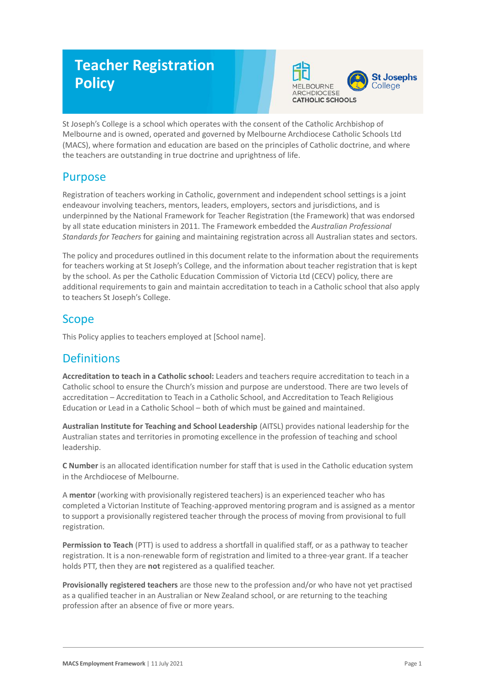# **Teacher Registration Policy**



St Joseph's College is a school which operates with the consent of the Catholic Archbishop of Melbourne and is owned, operated and governed by Melbourne Archdiocese Catholic Schools Ltd (MACS), where formation and education are based on the principles of Catholic doctrine, and where the teachers are outstanding in true doctrine and uprightness of life.

### Purpose

Registration of teachers working in Catholic, government and independent school settings is a joint endeavour involving teachers, mentors, leaders, employers, sectors and jurisdictions, and is underpinned by the National Framework for Teacher Registration (the Framework) that was endorsed by all state education ministers in 2011. The Framework embedded the *Australian Professional Standards for Teachers* for gaining and maintaining registration across all Australian states and sectors.

The policy and procedures outlined in this document relate to the information about the requirements for teachers working at St Joseph's College, and the information about teacher registration that is kept by the school. As per the Catholic Education Commission of Victoria Ltd (CECV) policy, there are additional requirements to gain and maintain accreditation to teach in a Catholic school that also apply to teachers St Joseph's College.

# Scope

This Policy applies to teachers employed at [School name].

# **Definitions**

**Accreditation to teach in a Catholic school:** Leaders and teachers require accreditation to teach in a Catholic school to ensure the Church's mission and purpose are understood. There are two levels of accreditation – Accreditation to Teach in a Catholic School, and Accreditation to Teach Religious Education or Lead in a Catholic School – both of which must be gained and maintained.

**Australian Institute for Teaching and School Leadership** (AITSL) provides national leadership for the Australian states and territories in promoting excellence in the profession of teaching and school leadership.

**C Number** is an allocated identification number for staff that is used in the Catholic education system in the Archdiocese of Melbourne.

A **mentor** (working with provisionally registered teachers) is an experienced teacher who has completed a Victorian Institute of Teaching-approved mentoring program and is assigned as a mentor to support a provisionally registered teacher through the process of moving from provisional to full registration.

**Permission to Teach** (PTT) is used to address a shortfall in qualified staff, or as a pathway to teacher registration. It is a non-renewable form of registration and limited to a three-year grant. If a teacher holds PTT, then they are **not** registered as a qualified teacher.

**Provisionally registered teachers** are those new to the profession and/or who have not yet practised as a qualified teacher in an Australian or New Zealand school, or are returning to the teaching profession after an absence of five or more years.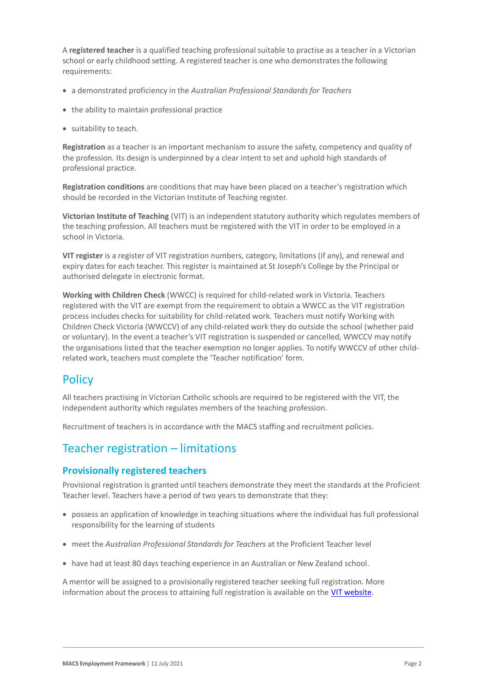A **registered teacher** is a qualified teaching professional suitable to practise as a teacher in a Victorian school or early childhood setting. A registered teacher is one who demonstrates the following requirements:

- a demonstrated proficiency in the *Australian Professional Standards for Teachers*
- the ability to maintain professional practice
- suitability to teach.

**Registration** as a teacher is an important mechanism to assure the safety, competency and quality of the profession. Its design is underpinned by a clear intent to set and uphold high standards of professional practice.

**Registration conditions** are conditions that may have been placed on a teacher's registration which should be recorded in the Victorian Institute of Teaching register.

**Victorian Institute of Teaching** (VIT) is an independent statutory authority which regulates members of the teaching profession. All teachers must be registered with the VIT in order to be employed in a school in Victoria.

**VIT register** is a register of VIT registration numbers, category, limitations (if any), and renewal and expiry dates for each teacher. This register is maintained at St Joseph's College by the Principal or authorised delegate in electronic format.

**Working with Children Check** (WWCC) is required for child-related work in Victoria. Teachers registered with the VIT are exempt from the requirement to obtain a WWCC as the VIT registration process includes checks for suitability for child-related work. Teachers must notify Working with Children Check Victoria (WWCCV) of any child-related work they do outside the school (whether paid or voluntary). In the event a teacher's VIT registration is suspended or cancelled, WWCCV may notify the organisations listed that the teacher exemption no longer applies. To notify WWCCV of other childrelated work, teachers must complete the 'Teacher notification' form.

### **Policy**

All teachers practising in Victorian Catholic schools are required to be registered with the VIT, the independent authority which regulates members of the teaching profession.

Recruitment of teachers is in accordance with the MACS staffing and recruitment policies.

# Teacher registration – limitations

#### **Provisionally registered teachers**

Provisional registration is granted until teachers demonstrate they meet the standards at the Proficient Teacher level. Teachers have a period of two years to demonstrate that they:

- possess an application of knowledge in teaching situations where the individual has full professional responsibility for the learning of students
- meet the *Australian Professional Standards for Teachers* at the Proficient Teacher level
- have had at least 80 days teaching experience in an Australian or New Zealand school.

A mentor will be assigned to a provisionally registered teacher seeking full registration. More information about the process to attaining full registration is available on the [VIT website.](https://www.vit.vic.edu.au/registered-teacher/moving-to-full-registration)